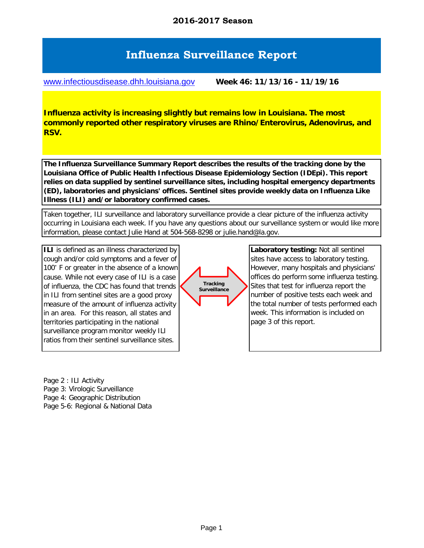# **Influenza Surveillance Report**

[www.infectiousdisease.dhh.louisiana.gov](http://www.infectiousdisease.dhh.louisiana.gov/#) **Week 46: 11/13/16 - 11/19/16**

**Influenza activity is increasing slightly but remains low in Louisiana. The most commonly reported other respiratory viruses are Rhino/Enterovirus, Adenovirus, and RSV.**

**The Influenza Surveillance Summary Report describes the results of the tracking done by the Louisiana Office of Public Health Infectious Disease Epidemiology Section (IDEpi). This report relies on data supplied by sentinel surveillance sites, including hospital emergency departments (ED), laboratories and physicians' offices. Sentinel sites provide weekly data on Influenza Like Illness (ILI) and/or laboratory confirmed cases.**

Taken together, ILI surveillance and laboratory surveillance provide a clear picture of the influenza activity occurring in Louisiana each week. If you have any questions about our surveillance system or would like more information, please contact Julie Hand at 504-568-8298 or julie.hand@la.gov.

**ILI** is defined as an illness characterized by cough and/or cold symptoms and a fever of 100˚ F or greater in the absence of a known cause. While not every case of ILI is a case of influenza, the CDC has found that trends in ILI from sentinel sites are a good proxy measure of the amount of influenza activity in an area. For this reason, all states and territories participating in the national surveillance program monitor weekly ILI ratios from their sentinel surveillance sites.

Page 2 : ILI Activity Page 3: Virologic Surveillance Page 4: Geographic Distribution Page 5-6: Regional & National Data



**Laboratory testing:** Not all sentinel sites have access to laboratory testing. However, many hospitals and physicians' offices do perform some influenza testing. Sites that test for influenza report the number of positive tests each week and the total number of tests performed each week. This information is included on page 3 of this report.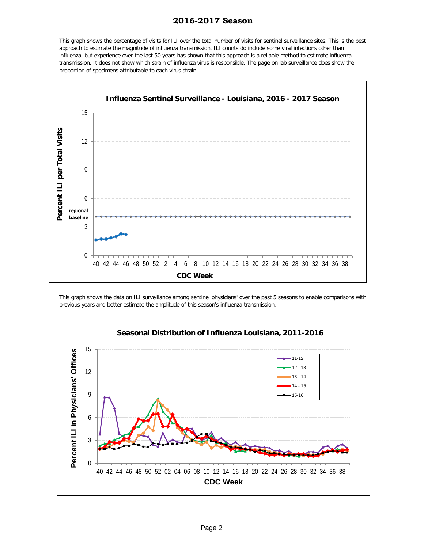#### **2016-2017 Season**

This graph shows the percentage of visits for ILI over the total number of visits for sentinel surveillance sites. This is the best approach to estimate the magnitude of influenza transmission. ILI counts do include some viral infections other than influenza, but experience over the last 50 years has shown that this approach is a reliable method to estimate influenza transmission. It does not show which strain of influenza virus is responsible. The page on lab surveillance does show the proportion of specimens attributable to each virus strain.



This graph shows the data on ILI surveillance among sentinel physicians' over the past 5 seasons to enable comparisons with previous years and better estimate the amplitude of this season's influenza transmission.

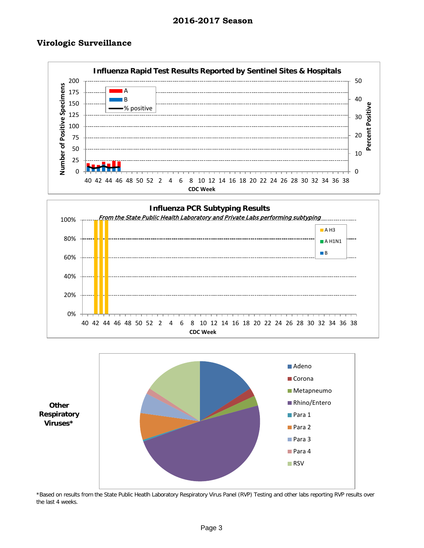#### **Virologic Surveillance**







\*Based on results from the State Public Heatlh Laboratory Respiratory Virus Panel (RVP) Testing and other labs reporting RVP results over the last 4 weeks.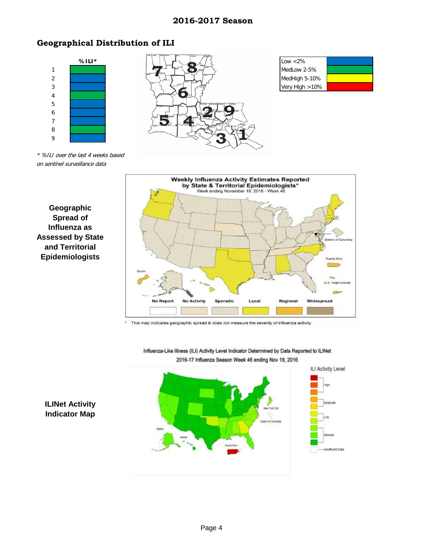#### **2016-2017 Season**

# **Geographical Distribution of ILI**



\* %ILI over the last 4 weeks based on sentinel surveillance data





This map indicates geographic spread & does not measure the severity of influenza activity  $\hat{\mathbf{z}}$ 



Influenza-Like Illness (ILI) Activity Level Indicator Determined by Data Reported to ILINet 2016-17 Influenza Season Week 46 ending Nov 19, 2016

### **ILINet Activity Indicator Map**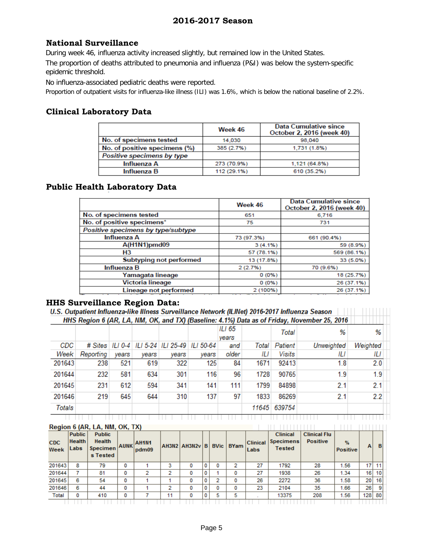## **National Surveillance**

The proportion of deaths attributed to pneumonia and influenza (P&I) was below the system-specific epidemic threshold. During week 46, influenza activity increased slightly, but remained low in the United States.

No influenza-associated pediatric deaths were reported.

Proportion of outpatient visits for influenza-like illness (ILI) was 1.6%, which is below the national baseline of 2.2%.

#### **Clinical Laboratory Data**

|                               | Week 46     | <b>Data Cumulative since</b><br>October 2, 2016 (week 40) |
|-------------------------------|-------------|-----------------------------------------------------------|
| No. of specimens tested       | 14.030      | 98.040                                                    |
| No. of positive specimens (%) | 385 (2.7%)  | 1.731 (1.8%)                                              |
| Positive specimens by type    |             |                                                           |
| Influenza A                   | 273 (70.9%) | 1,121 (64.8%)                                             |
| Influenza B                   | 112 (29.1%) | 610 (35.2%)                                               |

#### **Public Health Laboratory Data**

|                                    | Week 46    | <b>Data Cumulative since</b><br>October 2, 2016 (week 40) |
|------------------------------------|------------|-----------------------------------------------------------|
| No. of specimens tested            | 651        | 6,716                                                     |
| No. of positive specimens*         | 75         | 731                                                       |
| Positive specimens by type/subtype |            |                                                           |
| Influenza A                        | 73 (97.3%) | 661 (90.4%)                                               |
| A(H1N1)pmd09                       | $3(4.1\%)$ | 59 (8.9%)                                                 |
| H <sub>3</sub>                     | 57 (78.1%) | 569 (86.1%)                                               |
| Subtyping not performed            | 13 (17.8%) | 33 (5.0%)                                                 |
| Influenza B                        | 2(2.7%)    | 70 (9.6%)                                                 |
| Yamagata lineage                   | 0(0%       | 18 (25.7%)                                                |
| Victoria lineage                   | 0(0%)      | 26 (37.1%)                                                |
| Lineage not performed              | 2 (100%)   | 26 (37.1%)                                                |

#### **HHS Surveillance Region Data:**

| U.S. Outpatient Influenza-like Illness Surveillance Network (ILINet) 2016-2017 Influenza Season |                                                                                             |
|-------------------------------------------------------------------------------------------------|---------------------------------------------------------------------------------------------|
|                                                                                                 | HHS Region 6 (AR, LA, NM, OK, and TX) (Baseline: 4.1%) Data as of Friday, November 25, 2016 |

|        |           |       |       |       |                                                      | ILI 65<br>vears |       | Total        | %          | %        |  |
|--------|-----------|-------|-------|-------|------------------------------------------------------|-----------------|-------|--------------|------------|----------|--|
| CDC    |           |       |       |       | # Sites   ILI 0-4   ILI 5-24   ILI 25-49   ILI 50-64 | and             | Total | Patient      | Unweighted | Weighted |  |
| Week   | Reporting | vears | vears | vears | vears                                                | older           | ΙLΙ   | Visits       | ΙLΙ        | ΙLΙ      |  |
| 201643 | 238       | 521   | 619   | 322   | 125                                                  | 84              | 1671  | 92413        | 1.8        | 2.0      |  |
| 201644 | 232       | 581   | 634   | 301   | 116                                                  | 96              | 1728  | 90765        | 1.9        | 1.9      |  |
| 201645 | 231       | 612   | 594   | 341   | 141                                                  | 111             | 1799  | 84898        | 2.1        | 2.1      |  |
| 201646 | 219       | 645   | 644   | 310   | 137                                                  | 97              | 1833  | 86269        | 2.1        | 2.2      |  |
| Totals |           |       |       |       |                                                      |                 |       | 11645 639754 |            |          |  |

<u>T TITLE TITLETTII</u>

#### Region 6 (AR, LA, NM, OK, TX)

| Region 6 (AR, LA, NM, OK, TX) |                                        |                                                      |   |                            |    |                             |   |   |                           |                         |                                                      |                                        |                                  |     |    |
|-------------------------------|----------------------------------------|------------------------------------------------------|---|----------------------------|----|-----------------------------|---|---|---------------------------|-------------------------|------------------------------------------------------|----------------------------------------|----------------------------------|-----|----|
| <b>CDC</b><br>Week            | <b>Public</b><br><b>Health</b><br>Labs | <b>Public</b><br>Health<br>Specimen AUNK<br>s Tested |   | AH <sub>1N1</sub><br>pdm09 |    | <b>AH3N2   AH3N2v   B  </b> |   |   | <b>BVic</b>   <b>BYam</b> | <b>Clinical</b><br>Labs | <b>Clinical</b><br><b>Specimens</b><br><b>Tested</b> | <b>Clinical Flu</b><br><b>Positive</b> | $\frac{9}{4}$<br><b>Positive</b> | A   | в  |
| 201643                        | 8                                      | 79                                                   | 0 |                            | 3  |                             | 0 | 0 | ∍                         | 27                      | 1792                                                 | 28                                     | 1.56                             | 17  | 11 |
| 201644                        |                                        | 81                                                   | 0 | 2                          | 2  | 0                           | 0 |   |                           | 27                      | 1938                                                 | 26                                     | 1.34                             | 16  | 10 |
| 201645                        | 6                                      | 54                                                   | 0 |                            |    | 0                           | 0 | 2 | 0                         | 26                      | 2272                                                 | 36                                     | 1.58                             | 20  | 16 |
| 201646                        | 6                                      | 44                                                   | 0 |                            | 2  |                             | 0 | 0 |                           | 23                      | 2104                                                 | 35                                     | 1.66                             | 26  |    |
| Total                         | 0                                      | 410                                                  | 0 |                            | 11 | 0                           | 0 | 5 | 5                         |                         | 13375                                                | 208                                    | 1.56                             | 128 | 80 |
|                               |                                        |                                                      |   |                            |    |                             |   |   |                           |                         |                                                      |                                        |                                  |     |    |